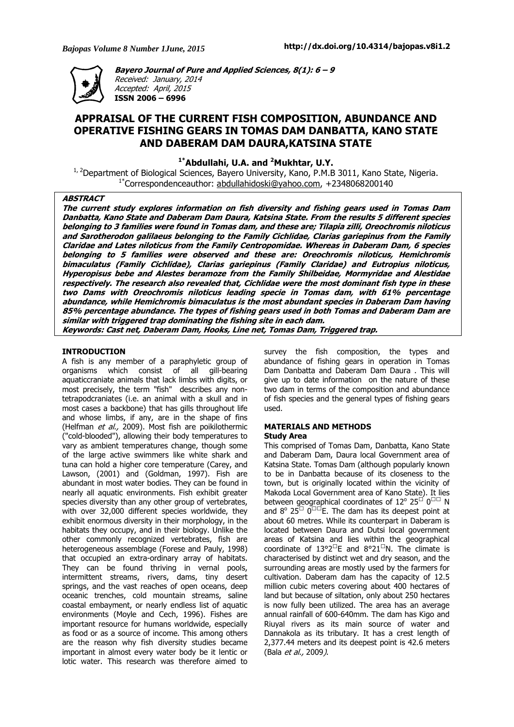

**Bayero Journal of Pure and Applied Sciences, 8(1): 6 – 9**  Received: January, 2014 Accepted: April, 2015 **ISSN 2006 – 6996** 

# **APPRAISAL OF THE CURRENT FISH COMPOSITION, ABUNDANCE AND OPERATIVE FISHING GEARS IN TOMAS DAM DANBATTA, KANO STATE AND DABERAM DAM DAURA,KATSINA STATE**

**1\*Abdullahi, U.A. and <sup>2</sup>Mukhtar, U.Y.** 

<sup>1, 2</sup>Department of Biological Sciences, Bayero University, Kano, P.M.B 3011, Kano State, Nigeria. 1\*Correspondenceauthor: abdullahidoski@yahoo.com, +2348068200140

### **ABSTRACT**

**The current study explores information on fish diversity and fishing gears used in Tomas Dam Danbatta, Kano State and Daberam Dam Daura, Katsina State. From the results 5 different species belonging to 3 families were found in Tomas dam, and these are; Tilapia zilli, Oreochromis niloticus and Sarotherodon galilaeus belonging to the Family Cichlidae, Clarias gariepinus from the Family Claridae and Lates niloticus from the Family Centropomidae. Whereas in Daberam Dam, 6 species belonging to 5 families were observed and these are: Oreochromis niloticus, Hemichromis bimaculatus (Family Cichlidae), Clarias gariepinus (Family Claridae) and Eutropius niloticus, Hyperopisus bebe and Alestes beramoze from the Family Shilbeidae, Mormyridae and Alestidae respectively. The research also revealed that, Cichlidae were the most dominant fish type in these two Dams with Oreochromis niloticus leading specie in Tomas dam, with 61% percentage abundance, while Hemichromis bimaculatus is the most abundant species in Daberam Dam having 85% percentage abundance. The types of fishing gears used in both Tomas and Daberam Dam are similar with triggered trap dominating the fishing site in each dam. Keywords: Cast net, Daberam Dam, Hooks, Line net, Tomas Dam, Triggered trap.** 

### **INTRODUCTION**

A fish is any member of a paraphyletic group of organisms which consist of all gill-bearing aquaticcraniate animals that lack limbs with digits, or most precisely, the term "fish" describes any nontetrapodcraniates (i.e. an animal with a skull and in most cases a backbone) that has gills throughout life and whose limbs, if any, are in the shape of fins (Helfman et al., 2009). Most fish are poikilothermic ("cold-blooded"), allowing their body temperatures to vary as ambient temperatures change, though some of the large active swimmers like white shark and tuna can hold a higher core temperature (Carey, and Lawson, (2001) and (Goldman, 1997). Fish are abundant in most water bodies. They can be found in nearly all aquatic environments. Fish exhibit greater species diversity than any other group of vertebrates, with over 32,000 different species worldwide, they exhibit enormous diversity in their morphology, in the habitats they occupy, and in their biology. Unlike the other commonly recognized vertebrates, fish are heterogeneous assemblage (Forese and Pauly, 1998) that occupied an extra-ordinary array of habitats. They can be found thriving in vernal pools, intermittent streams, rivers, dams, tiny desert springs, and the vast reaches of open oceans, deep oceanic trenches, cold mountain streams, saline coastal embayment, or nearly endless list of aquatic environments (Moyle and Cech, 1996). Fishes are important resource for humans worldwide, especially as food or as a source of income. This among others are the reason why fish diversity studies became important in almost every water body be it lentic or lotic water. This research was therefore aimed to

survey the fish composition, the types and abundance of fishing gears in operation in Tomas Dam Danbatta and Daberam Dam Daura . This will give up to date information on the nature of these two dam in terms of the composition and abundance of fish species and the general types of fishing gears used.

### **MATERIALS AND METHODS Study Area**

This comprised of Tomas Dam, Danbatta, Kano State and Daberam Dam, Daura local Government area of Katsina State. Tomas Dam (although popularly known to be in Danbatta because of its closeness to the town, but is originally located within the vicinity of Makoda Local Government area of Kano State). It lies between geographical coordinates of 12 $^{\circ}$  25 $^{\square}$  0 $^{\square\square}$  N and 8<sup>o</sup> 25<sup> $\Box$ </sup> 0<sup> $\Box$ </sup>E. The dam has its deepest point at about 60 metres. While its counterpart in Daberam is located between Daura and Dutsi local government areas of Katsina and lies within the geographical coordinate of  $13^{\circ}2^{\square}E$  and  $8^{\circ}21^{\square}N$ . The climate is characterised by distinct wet and dry season, and the surrounding areas are mostly used by the farmers for cultivation. Daberam dam has the capacity of 12.5 million cubic meters covering about 400 hectares of land but because of siltation, only about 250 hectares is now fully been utilized. The area has an average annual rainfall of 600-640mm. The dam has Kigo and Riuyal rivers as its main source of water and Dannakola as its tributary. It has a crest length of 2,377.44 meters and its deepest point is 42.6 meters (Bala et al., 2009).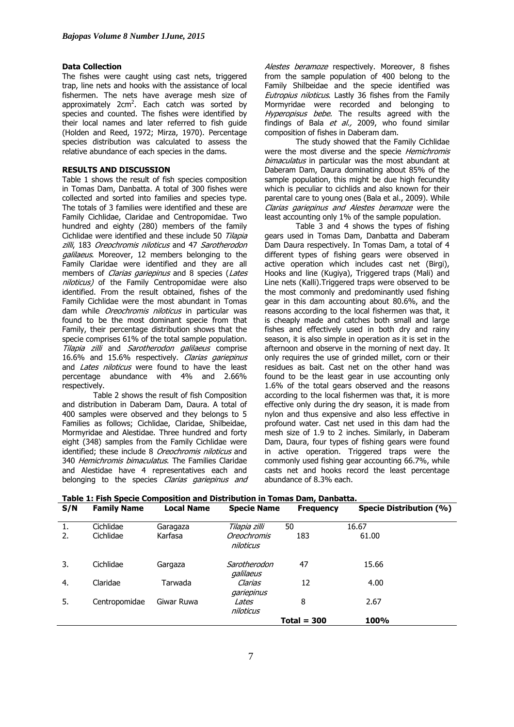### **Data Collection**

The fishes were caught using cast nets, triggered trap, line nets and hooks with the assistance of local fishermen. The nets have average mesh size of approximately 2cm<sup>2</sup>. Each catch was sorted by species and counted. The fishes were identified by their local names and later referred to fish guide (Holden and Reed, 1972; Mirza, 1970). Percentage species distribution was calculated to assess the relative abundance of each species in the dams.

# **RESULTS AND DISCUSSION**

Table 1 shows the result of fish species composition in Tomas Dam, Danbatta. A total of 300 fishes were collected and sorted into families and species type. The totals of 3 families were identified and these are Family Cichlidae, Claridae and Centropomidae. Two hundred and eighty (280) members of the family Cichlidae were identified and these include 50 Tilapia zilli, 183 Oreochromis niloticus and 47 Sarotherodon galilaeus. Moreover, 12 members belonging to the Family Claridae were identified and they are all members of *Clarias gariepinus* and 8 species (Lates niloticus) of the Family Centropomidae were also identified. From the result obtained, fishes of the Family Cichlidae were the most abundant in Tomas dam while Oreochromis niloticus in particular was found to be the most dominant specie from that Family, their percentage distribution shows that the specie comprises 61% of the total sample population. Tilapia zilli and Sarotherodon galilaeus comprise 16.6% and 15.6% respectively. Clarias gariepinus and *Lates niloticus* were found to have the least percentage abundance with 4% and 2.66% respectively.

Table 2 shows the result of fish Composition and distribution in Daberam Dam, Daura. A total of 400 samples were observed and they belongs to 5 Families as follows; Cichlidae, Claridae, Shilbeidae, Mormyridae and Alestidae. Three hundred and forty eight (348) samples from the Family Cichlidae were identified; these include 8 *Oreochromis niloticus* and 340 Hemichromis bimaculatus. The Families Claridae and Alestidae have 4 representatives each and belonging to the species Clarias gariepinus and Alestes beramoze respectively. Moreover, 8 fishes from the sample population of 400 belong to the Family Shilbeidae and the specie identified was Eutropius niloticus. Lastly 36 fishes from the Family Mormyridae were recorded and belonging to Hyperopisus bebe. The results agreed with the findings of Bala et al., 2009, who found similar composition of fishes in Daberam dam.

The study showed that the Family Cichlidae were the most diverse and the specie *Hemichromis* bimaculatus in particular was the most abundant at Daberam Dam, Daura dominating about 85% of the sample population, this might be due high fecundity which is peculiar to cichlids and also known for their parental care to young ones (Bala et al., 2009). While Clarias gariepinus and Alestes beramoze were the least accounting only 1% of the sample population.

Table 3 and 4 shows the types of fishing gears used in Tomas Dam, Danbatta and Daberam Dam Daura respectively. In Tomas Dam, a total of 4 different types of fishing gears were observed in active operation which includes cast net (Birgi), Hooks and line (Kugiya), Triggered traps (Mali) and Line nets (Kalli).Triggered traps were observed to be the most commonly and predominantly used fishing gear in this dam accounting about 80.6%, and the reasons according to the local fishermen was that, it is cheaply made and catches both small and large fishes and effectively used in both dry and rainy season, it is also simple in operation as it is set in the afternoon and observe in the morning of next day. It only requires the use of grinded millet, corn or their residues as bait. Cast net on the other hand was found to be the least gear in use accounting only 1.6% of the total gears observed and the reasons according to the local fishermen was that, it is more effective only during the dry season, it is made from nylon and thus expensive and also less effective in profound water. Cast net used in this dam had the mesh size of 1.9 to 2 inches. Similarly, in Daberam Dam, Daura, four types of fishing gears were found in active operation. Triggered traps were the commonly used fishing gear accounting 66.7%, while casts net and hooks record the least percentage abundance of 8.3% each.

|     |                    | <u>rabic 1. Fish Specie Composition and Distribution in Tomas Dam, Danbatta.</u> |                           |                  |                         |
|-----|--------------------|----------------------------------------------------------------------------------|---------------------------|------------------|-------------------------|
| S/N | <b>Family Name</b> | <b>Local Name</b>                                                                | <b>Specie Name</b>        | <b>Frequency</b> | Specie Distribution (%) |
|     |                    |                                                                                  |                           |                  |                         |
| 1.  | Cichlidae          | Garagaza                                                                         | Tilapia zilli             | 50               | 16.67                   |
| 2.  | Cichlidae          | Karfasa                                                                          | Oreochromis<br>niloticus  | 183              | 61.00                   |
| 3.  | Cichlidae          | Gargaza                                                                          | Sarotherodon<br>galilaeus | 47               | 15.66                   |
| 4.  | Claridae           | Tarwada                                                                          | Clarias<br>gariepinus     | 12               | 4.00                    |
| 5.  | Centropomidae      | Giwar Ruwa                                                                       | Lates<br>niloticus        | 8                | 2.67                    |
|     |                    |                                                                                  |                           | $Total = 300$    | <b>100%</b>             |

# **Table 1: Fish Specie Composition and Distribution in Tomas Dam, Danbatta.**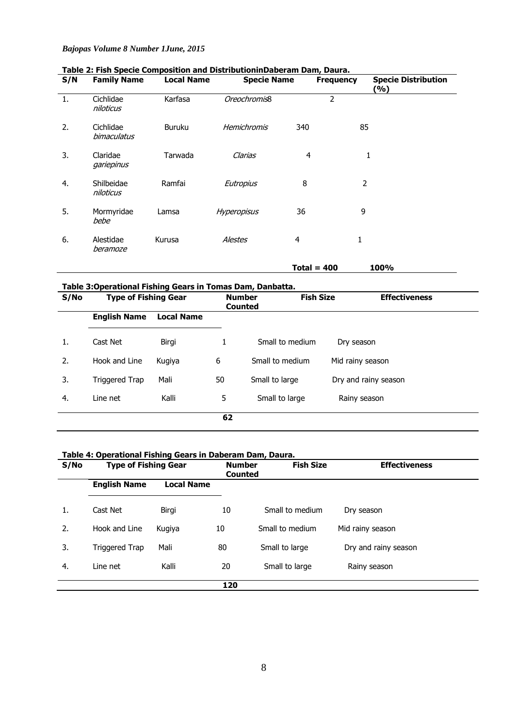| S/N | <b>Family Name</b>       | <b>Local Name</b> | <b>Specie Name</b> |               | <b>Frequency</b> | <b>Specie Distribution</b><br>(%) |
|-----|--------------------------|-------------------|--------------------|---------------|------------------|-----------------------------------|
| 1.  | Cichlidae<br>niloticus   | Karfasa           | Oreochromis8       |               | 2                |                                   |
| 2.  | Cichlidae<br>bimaculatus | <b>Buruku</b>     | Hemichromis        | 340           | 85               |                                   |
| 3.  | Claridae<br>gariepinus   | Tarwada           | Clarias            | 4             | 1                |                                   |
| 4.  | Shilbeidae<br>niloticus  | Ramfai            | Eutropius          | 8             | 2                |                                   |
| 5.  | Mormyridae<br>bebe       | Lamsa             | <b>Hyperopisus</b> | 36            | 9                |                                   |
| 6.  | Alestidae<br>beramoze    | Kurusa            | <b>Alestes</b>     | 4             | 1                |                                   |
|     |                          |                   |                    | Total = $400$ |                  | 100%                              |

# **Table 2: Fish Specie Composition and DistributioninDaberam Dam, Daura.**

**Table 3:Operational Fishing Gears in Tomas Dam, Danbatta.** 

| S/No | <b>Type of Fishing Gear</b> |                   | <b>Number</b><br><b>Counted</b> | <b>Fish Size</b> |                      | <b>Effectiveness</b> |
|------|-----------------------------|-------------------|---------------------------------|------------------|----------------------|----------------------|
|      | <b>English Name</b>         | <b>Local Name</b> |                                 |                  |                      |                      |
| 1.   | Cast Net                    | Birgi             | 1                               | Small to medium  | Dry season           |                      |
| 2.   | Hook and Line               | Kugiya            | 6                               | Small to medium  | Mid rainy season     |                      |
| 3.   | Triggered Trap              | Mali              | 50                              | Small to large   | Dry and rainy season |                      |
| 4.   | Line net                    | Kalli             | 5                               | Small to large   | Rainy season         |                      |
|      |                             |                   | 62                              |                  |                      |                      |

# **Table 4: Operational Fishing Gears in Daberam Dam, Daura.**

| S/No | <b>Type of Fishing Gear</b> |                   | <b>Number</b><br><b>Counted</b> | <b>Fish Size</b> | <b>Effectiveness</b> |
|------|-----------------------------|-------------------|---------------------------------|------------------|----------------------|
|      | <b>English Name</b>         | <b>Local Name</b> |                                 |                  |                      |
| 1.   | Cast Net                    | Birgi             | 10                              | Small to medium  | Dry season           |
| 2.   | Hook and Line               | Kugiya            | 10                              | Small to medium  | Mid rainy season     |
| 3.   | Triggered Trap              | Mali              | 80                              | Small to large   | Dry and rainy season |
| 4.   | Line net                    | Kalli             | 20                              | Small to large   | Rainy season         |
|      |                             |                   | 120                             |                  |                      |